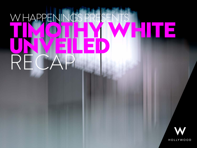### WHAPPEN **TIMOTHY WHITE UNVEILED** RECAP

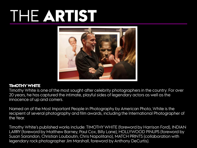## THE **ARTIST**



#### **TIMOTHY WHITE**

Timothy White is one of the most sought-after celebrity photographers in the country. For over 20 years, he has captured the intimate, playful sides of legendary actors as well as the innocence of up and comers.

Named on of the Most Important People in Photography by American Photo, White is the recipient of several photography and film awards, including the International Photographer of the Year.

Timothy White's published works include: TIMOTHY WHITE (foreword by Harrison Ford), INDIAN LARRY (foreword by Matthew Barney, Paul Cox, Billy Lane), HOLLYWOOD PINUPS (foreword by Susan Sarandon, Christian Louboutin, Chris Napolitano), MATCH PRINTS (collaboration with legendary rock photographer Jim Marshall, foreword by Anthony DeCurtis).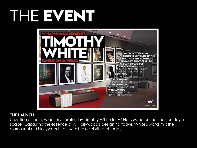### THE **EVENT**



#### **THE LAUNCH**

Unveiling of the new gallery curated by Timothy White for W Hollywood on the 2nd floor foyer space. Capturing the essence of W Hollywood's design narrative, White's works mix the glamour of old Hollywood stars with the celebrities of today.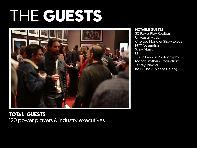# THE **GUESTS**



### **TOTAL GUESTS** 120 power players & industry executives

#### **NOTABLE GUESTS**

20 PowerPlay Realtors Universal Music Chelsea Handler Show Execs NYX Cosmetics Sony Music E! Julian Lennon Photography Mandt Brothers Productions Jeffrey Jampol Kelly Cha (Chinese Celeb)